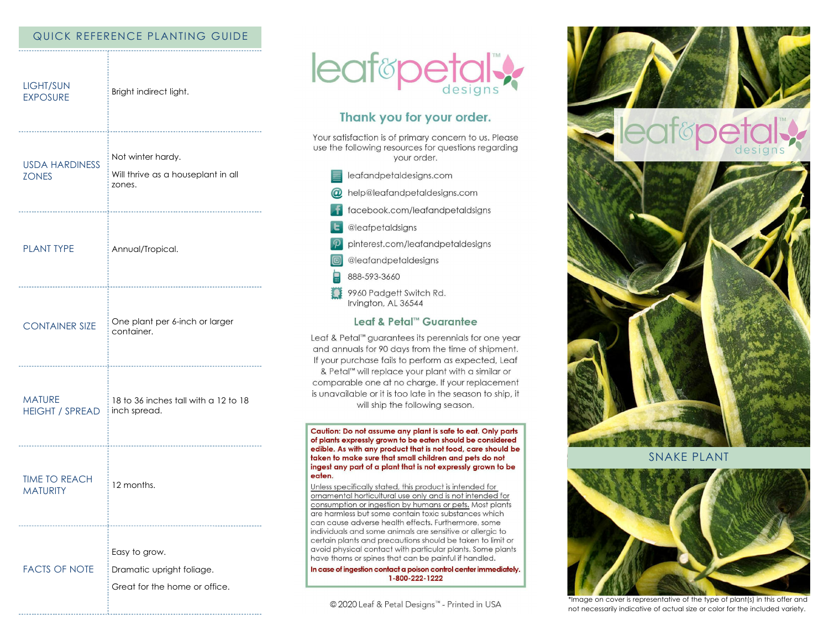## QUICK REFERENCE PLANTING GUIDE

| <b>LIGHT/SUN</b><br><b>EXPOSURE</b>             | Bright indirect light.                                                                 |
|-------------------------------------------------|----------------------------------------------------------------------------------------|
| <b>USDA HARDINESS</b><br><b>ZONES</b>           | -----------------<br>Not winter hardy.<br>Will thrive as a houseplant in all<br>zones. |
| <b>PLANT TYPE</b>                               | Annual/Tropical.                                                                       |
| <b>CONTAINER SIZE</b>                           | One plant per 6-inch or larger<br>container.                                           |
| <b>MATURE</b><br>HEIGHT / SPREAD   inch spread. | 18 to 36 inches tall with a 12 to 18                                                   |
| <b>TIME TO REACH</b><br><b>MATURITY</b>         | 12 months.                                                                             |
| <b>FACTS OF NOTE</b>                            | Easy to grow.<br>Dramatic upright foliage.<br>Great for the home or office.            |



# Thank you for your order.

Your satisfaction is of primary concern to us. Please use the following resources for questions regarding your order.

- $\equiv$  leafandpetaldesigns.com
- @ help@leafandpetaldesigns.com
- f facebook.com/leafandpetaldsigns
- **L** @leafpetaldsigns
- $\mathcal P$  pinterest.com/leafandpetaldesigns

@leafandpetaldesigns

- 888-593-3660
- 9960 Padgett Switch Rd. Irvington, AL 36544

## Leaf & Petal™ Guarantee

Leaf & Petal™ guarantees its perennials for one year and annuals for 90 days from the time of shipment. If your purchase fails to perform as expected, Leaf & Petal<sup>™</sup> will replace your plant with a similar or comparable one at no charge. If your replacement is unavailable or it is too late in the season to ship, it will ship the following season.

Caution: Do not assume any plant is safe to eat. Only parts of plants expressly grown to be eaten should be considered edible. As with any product that is not food, care should be taken to make sure that small children and pets do not ingest any part of a plant that is not expressly grown to be eaten.

Unless specifically stated, this product is intended for ornamental horticultural use only and is not intended for consumption or ingestion by humans or pets. Most plants are harmless but some contain toxic substances which can cause adverse health effects. Furthermore, some individuals and some animals are sensitive or allergic to certain plants and precautions should be taken to limit or avoid physical contact with particular plants. Some plants have thorns or spines that can be painful if handled.

In case of ingestion contact a poison control center immediately. 1-800-222-1222

© 2020 Leaf & Petal Designs™ - Printed in USA



**SNAKE PLANT** 



\*Image on cover is representative of the type of plant(s) in this offer and not necessarily indicative of actual size or color for the included variety.